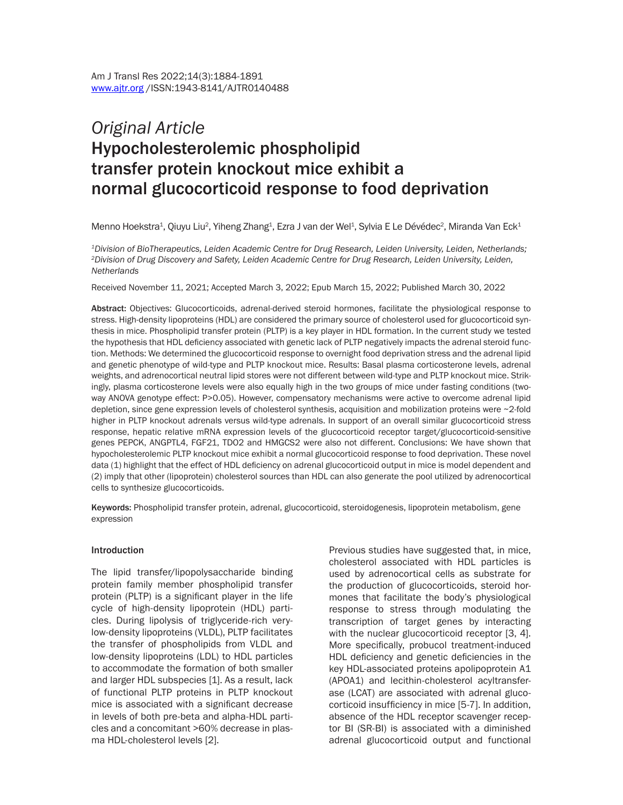# *Original Article* Hypocholesterolemic phospholipid transfer protein knockout mice exhibit a normal glucocorticoid response to food deprivation

Menno Hoekstra<sup>1</sup>, Qiuyu Liu<sup>2</sup>, Yiheng Zhang<sup>1</sup>, Ezra J van der Wel<sup>1</sup>, Sylvia E Le Dévédec<sup>2</sup>, Miranda Van Eck<sup>1</sup>

*1Division of BioTherapeutics, Leiden Academic Centre for Drug Research, Leiden University, Leiden, Netherlands; 2Division of Drug Discovery and Safety, Leiden Academic Centre for Drug Research, Leiden University, Leiden, Netherlands*

Received November 11, 2021; Accepted March 3, 2022; Epub March 15, 2022; Published March 30, 2022

Abstract: Objectives: Glucocorticoids, adrenal-derived steroid hormones, facilitate the physiological response to stress. High-density lipoproteins (HDL) are considered the primary source of cholesterol used for glucocorticoid synthesis in mice. Phospholipid transfer protein (PLTP) is a key player in HDL formation. In the current study we tested the hypothesis that HDL deficiency associated with genetic lack of PLTP negatively impacts the adrenal steroid function. Methods: We determined the glucocorticoid response to overnight food deprivation stress and the adrenal lipid and genetic phenotype of wild-type and PLTP knockout mice. Results: Basal plasma corticosterone levels, adrenal weights, and adrenocortical neutral lipid stores were not different between wild-type and PLTP knockout mice. Strikingly, plasma corticosterone levels were also equally high in the two groups of mice under fasting conditions (twoway ANOVA genotype effect: P>0.05). However, compensatory mechanisms were active to overcome adrenal lipid depletion, since gene expression levels of cholesterol synthesis, acquisition and mobilization proteins were ~2-fold higher in PLTP knockout adrenals versus wild-type adrenals. In support of an overall similar glucocorticoid stress response, hepatic relative mRNA expression levels of the glucocorticoid receptor target/glucocorticoid-sensitive genes PEPCK, ANGPTL4, FGF21, TDO2 and HMGCS2 were also not different. Conclusions: We have shown that hypocholesterolemic PLTP knockout mice exhibit a normal glucocorticoid response to food deprivation. These novel data (1) highlight that the effect of HDL deficiency on adrenal glucocorticoid output in mice is model dependent and (2) imply that other (lipoprotein) cholesterol sources than HDL can also generate the pool utilized by adrenocortical cells to synthesize glucocorticoids.

Keywords: Phospholipid transfer protein, adrenal, glucocorticoid, steroidogenesis, lipoprotein metabolism, gene expression

#### Introduction

The lipid transfer/lipopolysaccharide binding protein family member phospholipid transfer protein (PLTP) is a significant player in the life cycle of high-density lipoprotein (HDL) particles. During lipolysis of triglyceride-rich verylow-density lipoproteins (VLDL), PLTP facilitates the transfer of phospholipids from VLDL and low-density lipoproteins (LDL) to HDL particles to accommodate the formation of both smaller and larger HDL subspecies [1]. As a result, lack of functional PLTP proteins in PLTP knockout mice is associated with a significant decrease in levels of both pre-beta and alpha-HDL particles and a concomitant >60% decrease in plasma HDL-cholesterol levels [2].

Previous studies have suggested that, in mice, cholesterol associated with HDL particles is used by adrenocortical cells as substrate for the production of glucocorticoids, steroid hormones that facilitate the body's physiological response to stress through modulating the transcription of target genes by interacting with the nuclear glucocorticoid receptor [3, 4]. More specifically, probucol treatment-induced HDL deficiency and genetic deficiencies in the key HDL-associated proteins apolipoprotein A1 (APOA1) and lecithin-cholesterol acyltransferase (LCAT) are associated with adrenal glucocorticoid insufficiency in mice [5-7]. In addition, absence of the HDL receptor scavenger receptor BI (SR-BI) is associated with a diminished adrenal glucocorticoid output and functional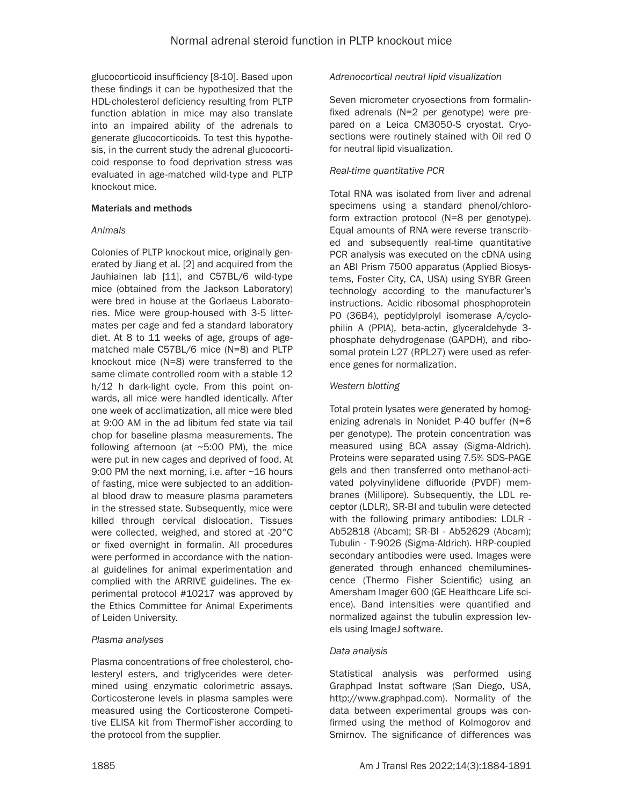glucocorticoid insufficiency [8-10]. Based upon these findings it can be hypothesized that the HDL-cholesterol deficiency resulting from PLTP function ablation in mice may also translate into an impaired ability of the adrenals to generate glucocorticoids. To test this hypothesis, in the current study the adrenal glucocorticoid response to food deprivation stress was evaluated in age-matched wild-type and PLTP knockout mice.

## Materials and methods

## *Animals*

Colonies of PLTP knockout mice, originally generated by Jiang et al. [2] and acquired from the Jauhiainen lab [11], and C57BL/6 wild-type mice (obtained from the Jackson Laboratory) were bred in house at the Gorlaeus Laboratories. Mice were group-housed with 3-5 littermates per cage and fed a standard laboratory diet. At 8 to 11 weeks of age, groups of agematched male C57BL/6 mice (N=8) and PLTP knockout mice (N=8) were transferred to the same climate controlled room with a stable 12 h/12 h dark-light cycle. From this point onwards, all mice were handled identically. After one week of acclimatization, all mice were bled at 9:00 AM in the ad libitum fed state via tail chop for baseline plasma measurements. The following afternoon (at  $\sim$ 5:00 PM), the mice were put in new cages and deprived of food. At 9:00 PM the next morning, i.e. after ~16 hours of fasting, mice were subjected to an additional blood draw to measure plasma parameters in the stressed state. Subsequently, mice were killed through cervical dislocation. Tissues were collected, weighed, and stored at -20°C or fixed overnight in formalin. All procedures were performed in accordance with the national guidelines for animal experimentation and complied with the ARRIVE guidelines. The experimental protocol #10217 was approved by the Ethics Committee for Animal Experiments of Leiden University.

## *Plasma analyses*

Plasma concentrations of free cholesterol, cholesteryl esters, and triglycerides were determined using enzymatic colorimetric assays. Corticosterone levels in plasma samples were measured using the Corticosterone Competitive ELISA kit from ThermoFisher according to the protocol from the supplier.

### *Adrenocortical neutral lipid visualization*

Seven micrometer cryosections from formalinfixed adrenals (N=2 per genotype) were prepared on a Leica CM3050-S cryostat. Cryosections were routinely stained with Oil red O for neutral lipid visualization.

## *Real-time quantitative PCR*

Total RNA was isolated from liver and adrenal specimens using a standard phenol/chloroform extraction protocol (N=8 per genotype). Equal amounts of RNA were reverse transcribed and subsequently real-time quantitative PCR analysis was executed on the cDNA using an ABI Prism 7500 apparatus (Applied Biosystems, Foster City, CA, USA) using SYBR Green technology according to the manufacturer's instructions. Acidic ribosomal phosphoprotein P0 (36B4), peptidylprolyl isomerase A/cyclophilin A (PPIA), beta-actin, glyceraldehyde 3 phosphate dehydrogenase (GAPDH), and ribosomal protein L27 (RPL27) were used as reference genes for normalization.

## *Western blotting*

Total protein lysates were generated by homogenizing adrenals in Nonidet P-40 buffer (N=6 per genotype). The protein concentration was measured using BCA assay (Sigma-Aldrich). Proteins were separated using 7.5% SDS-PAGE gels and then transferred onto methanol-activated polyvinylidene difluoride (PVDF) membranes (Millipore). Subsequently, the LDL receptor (LDLR), SR-BI and tubulin were detected with the following primary antibodies: LDLR - Ab52818 (Abcam); SR-BI - Ab52629 (Abcam); Tubulin - T-9026 (Sigma-Aldrich). HRP-coupled secondary antibodies were used. Images were generated through enhanced chemiluminescence (Thermo Fisher Scientific) using an Amersham Imager 600 (GE Healthcare Life science). Band intensities were quantified and normalized against the tubulin expression levels using ImageJ software.

#### *Data analysis*

Statistical analysis was performed using Graphpad Instat software (San Diego, USA, http://www.graphpad.com). Normality of the data between experimental groups was confirmed using the method of Kolmogorov and Smirnov. The significance of differences was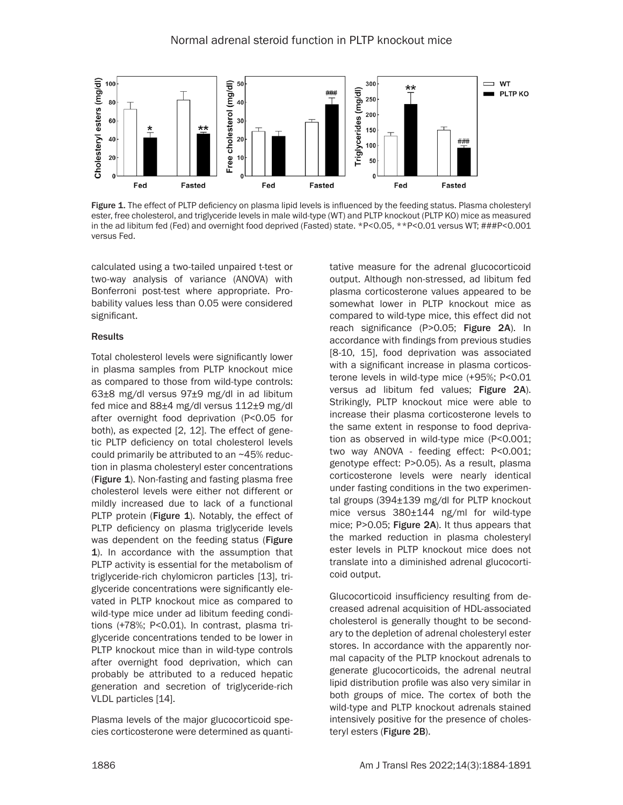

Figure 1. The effect of PLTP deficiency on plasma lipid levels is influenced by the feeding status. Plasma cholesteryl ester, free cholesterol, and triglyceride levels in male wild-type (WT) and PLTP knockout (PLTP KO) mice as measured in the ad libitum fed (Fed) and overnight food deprived (Fasted) state. \*P<0.05, \*\*P<0.01 versus WT; ###P<0.001 versus Fed.

calculated using a two-tailed unpaired t-test or two-way analysis of variance (ANOVA) with Bonferroni post-test where appropriate. Probability values less than 0.05 were considered significant.

#### Results

Total cholesterol levels were significantly lower in plasma samples from PLTP knockout mice as compared to those from wild-type controls: 63±8 mg/dl versus 97±9 mg/dl in ad libitum fed mice and  $88±4$  mg/dl versus  $112±9$  mg/dl after overnight food deprivation (P<0.05 for both), as expected [2, 12]. The effect of genetic PLTP deficiency on total cholesterol levels could primarily be attributed to an ~45% reduction in plasma cholesteryl ester concentrations (Figure 1). Non-fasting and fasting plasma free cholesterol levels were either not different or mildly increased due to lack of a functional PLTP protein (Figure 1). Notably, the effect of PLTP deficiency on plasma triglyceride levels was dependent on the feeding status (Figure 1). In accordance with the assumption that PLTP activity is essential for the metabolism of triglyceride-rich chylomicron particles [13], triglyceride concentrations were significantly elevated in PLTP knockout mice as compared to wild-type mice under ad libitum feeding conditions (+78%; P<0.01). In contrast, plasma triglyceride concentrations tended to be lower in PLTP knockout mice than in wild-type controls after overnight food deprivation, which can probably be attributed to a reduced hepatic generation and secretion of triglyceride-rich VLDL particles [14].

Plasma levels of the major glucocorticoid species corticosterone were determined as quanti-

tative measure for the adrenal glucocorticoid output. Although non-stressed, ad libitum fed plasma corticosterone values appeared to be somewhat lower in PLTP knockout mice as compared to wild-type mice, this effect did not reach significance (P>0.05; Figure 2A). In accordance with findings from previous studies [8-10, 15], food deprivation was associated with a significant increase in plasma corticosterone levels in wild-type mice (+95%; P<0.01 versus ad libitum fed values; Figure 2A). Strikingly, PLTP knockout mice were able to increase their plasma corticosterone levels to the same extent in response to food deprivation as observed in wild-type mice (P<0.001; two way ANOVA - feeding effect: P<0.001; genotype effect: P>0.05). As a result, plasma corticosterone levels were nearly identical under fasting conditions in the two experimental groups (394±139 mg/dl for PLTP knockout mice versus 380±144 ng/ml for wild-type mice; P>0.05; Figure 2A). It thus appears that the marked reduction in plasma cholesteryl ester levels in PLTP knockout mice does not translate into a diminished adrenal glucocorticoid output.

Glucocorticoid insufficiency resulting from decreased adrenal acquisition of HDL-associated cholesterol is generally thought to be secondary to the depletion of adrenal cholesteryl ester stores. In accordance with the apparently normal capacity of the PLTP knockout adrenals to generate glucocorticoids, the adrenal neutral lipid distribution profile was also very similar in both groups of mice. The cortex of both the wild-type and PLTP knockout adrenals stained intensively positive for the presence of cholesteryl esters (Figure 2B).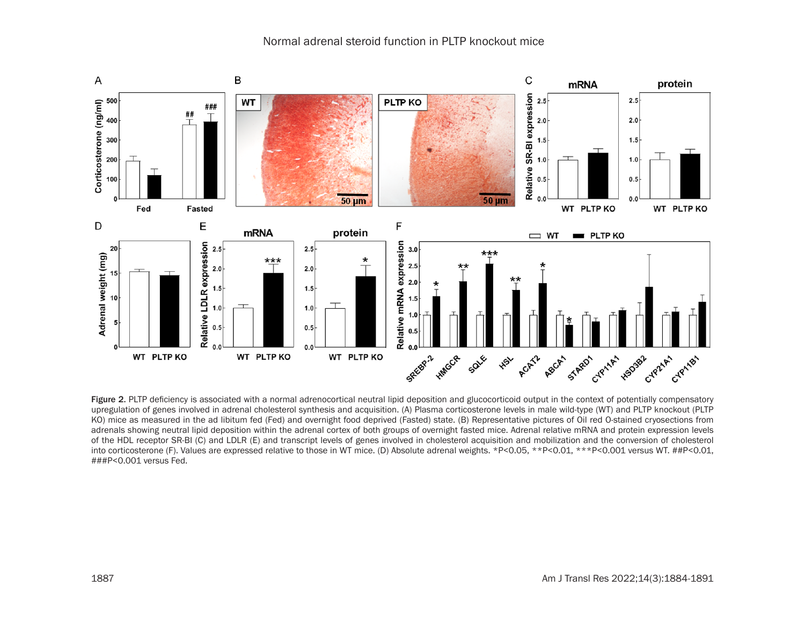

Figure 2. PLTP deficiency is associated with a normal adrenocortical neutral lipid deposition and glucocorticoid output in the context of potentially compensatory upregulation of genes involved in adrenal cholesterol synthesis and acquisition. (A) Plasma corticosterone levels in male wild-type (WT) and PLTP knockout (PLTP KO) mice as measured in the ad libitum fed (Fed) and overnight food deprived (Fasted) state. (B) Representative pictures of Oil red O-stained cryosections from adrenals showing neutral lipid deposition within the adrenal cortex of both groups of overnight fasted mice. Adrenal relative mRNA and protein expression levels of the HDL receptor SR-BI (C) and LDLR (E) and transcript levels of genes involved in cholesterol acquisition and mobilization and the conversion of cholesterol into corticosterone (F). Values are expressed relative to those in WT mice. (D) Absolute adrenal weights. \*P<0.05, \*\*P<0.01, \*\*\*P<0.001 versus WT. ##P<0.01, ###P<0.001 versus Fed.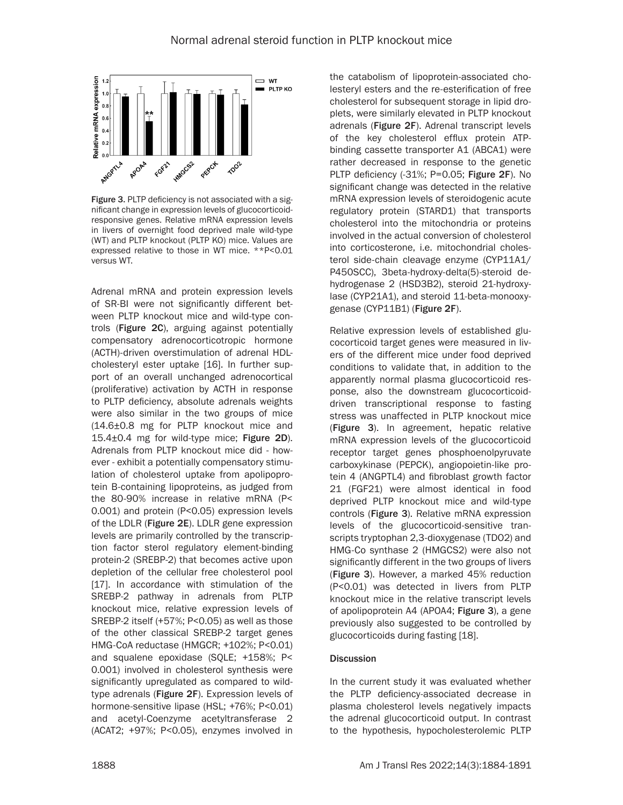

Figure 3. PLTP deficiency is not associated with a significant change in expression levels of glucocorticoidresponsive genes. Relative mRNA expression levels in livers of overnight food deprived male wild-type (WT) and PLTP knockout (PLTP KO) mice. Values are expressed relative to those in WT mice. \*\*P<0.01 versus WT.

Adrenal mRNA and protein expression levels of SR-BI were not significantly different between PLTP knockout mice and wild-type controls (Figure 2C), arguing against potentially compensatory adrenocorticotropic hormone (ACTH)-driven overstimulation of adrenal HDLcholesteryl ester uptake [16]. In further support of an overall unchanged adrenocortical (proliferative) activation by ACTH in response to PLTP deficiency, absolute adrenals weights were also similar in the two groups of mice (14.6±0.8 mg for PLTP knockout mice and 15.4±0.4 mg for wild-type mice; Figure 2D). Adrenals from PLTP knockout mice did - however - exhibit a potentially compensatory stimulation of cholesterol uptake from apolipoprotein B-containing lipoproteins, as judged from the 80-90% increase in relative mRNA (P< 0.001) and protein (P<0.05) expression levels of the LDLR (Figure 2E). LDLR gene expression levels are primarily controlled by the transcription factor sterol regulatory element-binding protein-2 (SREBP-2) that becomes active upon depletion of the cellular free cholesterol pool [17]. In accordance with stimulation of the SREBP-2 pathway in adrenals from PLTP knockout mice, relative expression levels of SREBP-2 itself (+57%; P<0.05) as well as those of the other classical SREBP-2 target genes HMG-CoA reductase (HMGCR; +102%; P<0.01) and squalene epoxidase (SQLE; +158%; P< 0.001) involved in cholesterol synthesis were significantly upregulated as compared to wildtype adrenals (Figure 2F). Expression levels of hormone-sensitive lipase (HSL; +76%; P<0.01) and acetyl-Coenzyme acetyltransferase 2 (ACAT2; +97%; P<0.05), enzymes involved in

the catabolism of lipoprotein-associated cholesteryl esters and the re-esterification of free cholesterol for subsequent storage in lipid droplets, were similarly elevated in PLTP knockout adrenals (Figure 2F). Adrenal transcript levels of the key cholesterol efflux protein ATPbinding cassette transporter A1 (ABCA1) were rather decreased in response to the genetic PLTP deficiency (-31%; P=0.05; Figure 2F). No significant change was detected in the relative mRNA expression levels of steroidogenic acute regulatory protein (STARD1) that transports cholesterol into the mitochondria or proteins involved in the actual conversion of cholesterol into corticosterone, i.e. mitochondrial cholesterol side-chain cleavage enzyme (CYP11A1/ P450SCC), 3beta-hydroxy-delta(5)-steroid dehydrogenase 2 (HSD3B2), steroid 21-hydroxylase (CYP21A1), and steroid 11-beta-monooxygenase (CYP11B1) (Figure 2F).

Relative expression levels of established glucocorticoid target genes were measured in livers of the different mice under food deprived conditions to validate that, in addition to the apparently normal plasma glucocorticoid response, also the downstream glucocorticoiddriven transcriptional response to fasting stress was unaffected in PLTP knockout mice (Figure 3). In agreement, hepatic relative mRNA expression levels of the glucocorticoid receptor target genes phosphoenolpyruvate carboxykinase (PEPCK), angiopoietin-like protein 4 (ANGPTL4) and fibroblast growth factor 21 (FGF21) were almost identical in food deprived PLTP knockout mice and wild-type controls (Figure 3). Relative mRNA expression levels of the glucocorticoid-sensitive transcripts tryptophan 2,3-dioxygenase (TDO2) and HMG-Co synthase 2 (HMGCS2) were also not significantly different in the two groups of livers (Figure 3). However, a marked 45% reduction (P<0.01) was detected in livers from PLTP knockout mice in the relative transcript levels of apolipoprotein A4 (APOA4; Figure 3), a gene previously also suggested to be controlled by glucocorticoids during fasting [18].

## **Discussion**

In the current study it was evaluated whether the PLTP deficiency-associated decrease in plasma cholesterol levels negatively impacts the adrenal glucocorticoid output. In contrast to the hypothesis, hypocholesterolemic PLTP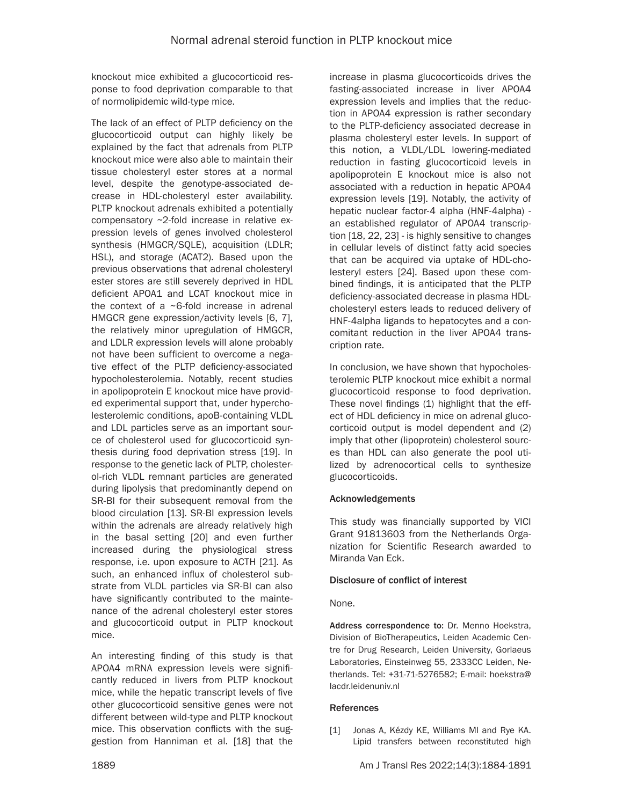knockout mice exhibited a glucocorticoid response to food deprivation comparable to that of normolipidemic wild-type mice.

The lack of an effect of PLTP deficiency on the glucocorticoid output can highly likely be explained by the fact that adrenals from PLTP knockout mice were also able to maintain their tissue cholesteryl ester stores at a normal level, despite the genotype-associated decrease in HDL-cholesteryl ester availability. PLTP knockout adrenals exhibited a potentially compensatory ~2-fold increase in relative expression levels of genes involved cholesterol synthesis (HMGCR/SQLE), acquisition (LDLR; HSL), and storage (ACAT2). Based upon the previous observations that adrenal cholesteryl ester stores are still severely deprived in HDL deficient APOA1 and LCAT knockout mice in the context of a  $\sim$  6-fold increase in adrenal HMGCR gene expression/activity levels [6, 7], the relatively minor upregulation of HMGCR, and LDLR expression levels will alone probably not have been sufficient to overcome a negative effect of the PLTP deficiency-associated hypocholesterolemia. Notably, recent studies in apolipoprotein E knockout mice have provided experimental support that, under hypercholesterolemic conditions, apoB-containing VLDL and LDL particles serve as an important source of cholesterol used for glucocorticoid synthesis during food deprivation stress [19]. In response to the genetic lack of PLTP, cholesterol-rich VLDL remnant particles are generated during lipolysis that predominantly depend on SR-BI for their subsequent removal from the blood circulation [13]. SR-BI expression levels within the adrenals are already relatively high in the basal setting [20] and even further increased during the physiological stress response, i.e. upon exposure to ACTH [21]. As such, an enhanced influx of cholesterol substrate from VLDL particles via SR-BI can also have significantly contributed to the maintenance of the adrenal cholesteryl ester stores and glucocorticoid output in PLTP knockout mice.

An interesting finding of this study is that APOA4 mRNA expression levels were significantly reduced in livers from PLTP knockout mice, while the hepatic transcript levels of five other glucocorticoid sensitive genes were not different between wild-type and PLTP knockout mice. This observation conflicts with the suggestion from Hanniman et al. [18] that the

increase in plasma glucocorticoids drives the fasting-associated increase in liver APOA4 expression levels and implies that the reduction in APOA4 expression is rather secondary to the PLTP-deficiency associated decrease in plasma cholesteryl ester levels. In support of this notion, a VLDL/LDL lowering-mediated reduction in fasting glucocorticoid levels in apolipoprotein E knockout mice is also not associated with a reduction in hepatic APOA4 expression levels [19]. Notably, the activity of hepatic nuclear factor-4 alpha (HNF-4alpha) an established regulator of APOA4 transcription [18, 22, 23] - is highly sensitive to changes in cellular levels of distinct fatty acid species that can be acquired via uptake of HDL-cholesteryl esters [24]. Based upon these combined findings, it is anticipated that the PLTP deficiency-associated decrease in plasma HDLcholesteryl esters leads to reduced delivery of HNF-4alpha ligands to hepatocytes and a concomitant reduction in the liver APOA4 transcription rate.

In conclusion, we have shown that hypocholesterolemic PLTP knockout mice exhibit a normal glucocorticoid response to food deprivation. These novel findings (1) highlight that the effect of HDL deficiency in mice on adrenal glucocorticoid output is model dependent and (2) imply that other (lipoprotein) cholesterol sources than HDL can also generate the pool utilized by adrenocortical cells to synthesize glucocorticoids.

## Acknowledgements

This study was financially supported by VICI Grant 91813603 from the Netherlands Organization for Scientific Research awarded to Miranda Van Eck.

## Disclosure of conflict of interest

#### None.

Address correspondence to: Dr. Menno Hoekstra, Division of BioTherapeutics, Leiden Academic Centre for Drug Research, Leiden University, Gorlaeus Laboratories, Einsteinweg 55, 2333CC Leiden, Netherlands. Tel: +31-71-5276582; E-mail: [hoekstra@](mailto:hoekstra@lacdr.leidenuniv.nl) [lacdr.leidenuniv.nl](mailto:hoekstra@lacdr.leidenuniv.nl)

#### References

[1] Jonas A, Kézdy KE, Williams MI and Rye KA. Lipid transfers between reconstituted high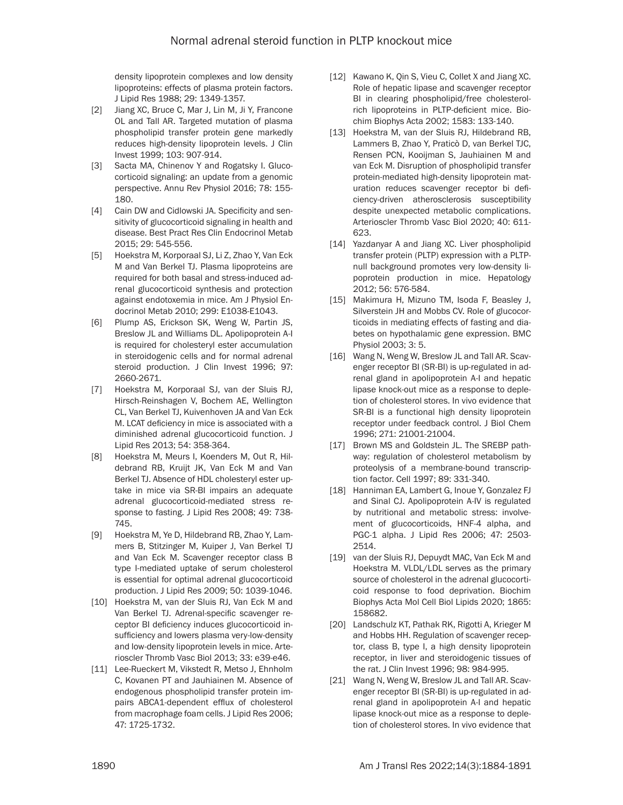density lipoprotein complexes and low density lipoproteins: effects of plasma protein factors. J Lipid Res 1988; 29: 1349-1357.

- [2] Jiang XC, Bruce C, Mar J, Lin M, Ji Y, Francone OL and Tall AR. Targeted mutation of plasma phospholipid transfer protein gene markedly reduces high-density lipoprotein levels. J Clin Invest 1999; 103: 907-914.
- [3] Sacta MA, Chinenov Y and Rogatsky I. Glucocorticoid signaling: an update from a genomic perspective. Annu Rev Physiol 2016; 78: 155- 180.
- [4] Cain DW and Cidlowski JA. Specificity and sensitivity of glucocorticoid signaling in health and disease. Best Pract Res Clin Endocrinol Metab 2015; 29: 545-556.
- [5] Hoekstra M, Korporaal SJ, Li Z, Zhao Y, Van Eck M and Van Berkel TJ. Plasma lipoproteins are required for both basal and stress-induced adrenal glucocorticoid synthesis and protection against endotoxemia in mice. Am J Physiol Endocrinol Metab 2010; 299: E1038-E1043.
- [6] Plump AS, Erickson SK, Weng W, Partin JS, Breslow JL and Williams DL. Apolipoprotein A-I is required for cholesteryl ester accumulation in steroidogenic cells and for normal adrenal steroid production. J Clin Invest 1996; 97: 2660-2671.
- [7] Hoekstra M, Korporaal SJ, van der Sluis RJ, Hirsch-Reinshagen V, Bochem AE, Wellington CL, Van Berkel TJ, Kuivenhoven JA and Van Eck M. LCAT deficiency in mice is associated with a diminished adrenal glucocorticoid function. J Lipid Res 2013; 54: 358-364.
- [8] Hoekstra M, Meurs I, Koenders M, Out R, Hildebrand RB, Kruijt JK, Van Eck M and Van Berkel TJ. Absence of HDL cholesteryl ester uptake in mice via SR-BI impairs an adequate adrenal glucocorticoid-mediated stress response to fasting. J Lipid Res 2008; 49: 738- 745.
- [9] Hoekstra M, Ye D, Hildebrand RB, Zhao Y, Lammers B, Stitzinger M, Kuiper J, Van Berkel TJ and Van Eck M. Scavenger receptor class B type I-mediated uptake of serum cholesterol is essential for optimal adrenal glucocorticoid production. J Lipid Res 2009; 50: 1039-1046.
- [10] Hoekstra M, van der Sluis RJ, Van Eck M and Van Berkel TJ. Adrenal-specific scavenger receptor BI deficiency induces glucocorticoid insufficiency and lowers plasma very-low-density and low-density lipoprotein levels in mice. Arterioscler Thromb Vasc Biol 2013; 33: e39-e46.
- [11] Lee-Rueckert M, Vikstedt R, Metso J, Ehnholm C, Kovanen PT and Jauhiainen M. Absence of endogenous phospholipid transfer protein impairs ABCA1-dependent efflux of cholesterol from macrophage foam cells. J Lipid Res 2006; 47: 1725-1732.
- [12] Kawano K, Qin S, Vieu C, Collet X and Jiang XC. Role of hepatic lipase and scavenger receptor BI in clearing phospholipid/free cholesterolrich lipoproteins in PLTP-deficient mice. Biochim Biophys Acta 2002; 1583: 133-140.
- [13] Hoekstra M, van der Sluis RJ, Hildebrand RB, Lammers B, Zhao Y, Praticò D, van Berkel TJC, Rensen PCN, Kooijman S, Jauhiainen M and van Eck M. Disruption of phospholipid transfer protein-mediated high-density lipoprotein maturation reduces scavenger receptor bi deficiency-driven atherosclerosis susceptibility despite unexpected metabolic complications. Arterioscler Thromb Vasc Biol 2020; 40: 611- 623.
- [14] Yazdanyar A and Jiang XC. Liver phospholipid transfer protein (PLTP) expression with a PLTPnull background promotes very low-density lipoprotein production in mice. Hepatology 2012; 56: 576-584.
- [15] Makimura H, Mizuno TM, Isoda F, Beasley J, Silverstein JH and Mobbs CV. Role of glucocorticoids in mediating effects of fasting and diabetes on hypothalamic gene expression. BMC Physiol 2003; 3: 5.
- [16] Wang N, Weng W, Breslow JL and Tall AR. Scavenger receptor BI (SR-BI) is up-regulated in adrenal gland in apolipoprotein A-I and hepatic lipase knock-out mice as a response to depletion of cholesterol stores. In vivo evidence that SR-BI is a functional high density lipoprotein receptor under feedback control. J Biol Chem 1996; 271: 21001-21004.
- [17] Brown MS and Goldstein JL. The SREBP pathway: regulation of cholesterol metabolism by proteolysis of a membrane-bound transcription factor. Cell 1997; 89: 331-340.
- [18] Hanniman EA, Lambert G, Inoue Y, Gonzalez FJ and Sinal CJ. Apolipoprotein A-IV is regulated by nutritional and metabolic stress: involvement of glucocorticoids, HNF-4 alpha, and PGC-1 alpha. J Lipid Res 2006; 47: 2503- 2514.
- [19] van der Sluis RJ, Depuydt MAC, Van Eck M and Hoekstra M. VLDL/LDL serves as the primary source of cholesterol in the adrenal glucocorticoid response to food deprivation. Biochim Biophys Acta Mol Cell Biol Lipids 2020; 1865: 158682.
- [20] Landschulz KT, Pathak RK, Rigotti A, Krieger M and Hobbs HH. Regulation of scavenger receptor, class B, type I, a high density lipoprotein receptor, in liver and steroidogenic tissues of the rat. J Clin Invest 1996; 98: 984-995.
- [21] Wang N, Weng W, Breslow JL and Tall AR. Scavenger receptor BI (SR-BI) is up-regulated in adrenal gland in apolipoprotein A-I and hepatic lipase knock-out mice as a response to depletion of cholesterol stores. In vivo evidence that